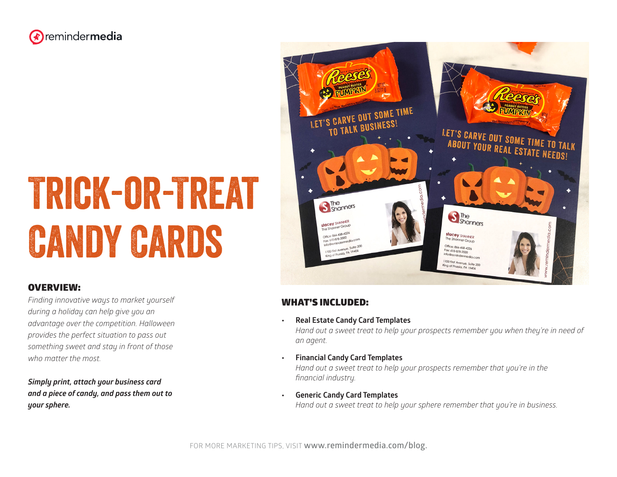

# Trick-or-Treat **CANDY CARDS**

#### OVERVIEW:

*Finding innovative ways to market yourself during a holiday can help give you an advantage over the competition. Halloween provides the perfect situation to pass out something sweet and stay in front of those who matter the most.* 

*Simply print, attach your business card and a piece of candy, and pass them out to your sphere.* 



#### WHAT'S INCLUDED:

**• Real Estate Candy Card Templates** 

*Hand out a sweet treat to help your prospects remember you when they're in need of an agent.*

**• Financial Candy Card Templates** 

*Hand out a sweet treat to help your prospects remember that you're in the financial industry.*

**• Generic Candy Card Templates**  *Hand out a sweet treat to help your sphere remember that you're in business.*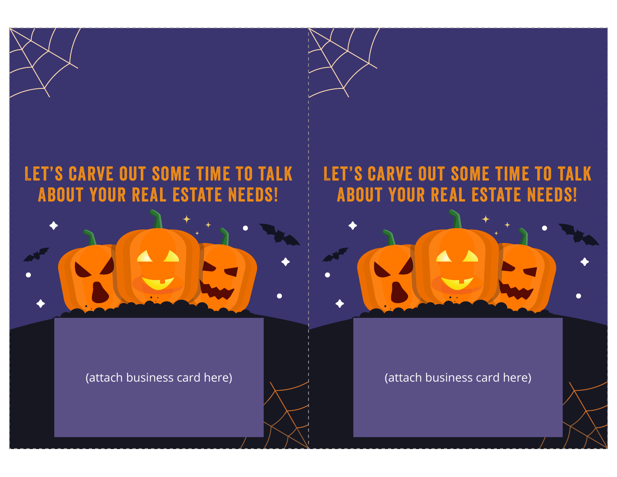### Let's carve out some time to talk about your real estate needs!



(attach business card here)

#### Let's carve out some time to talk about your real estate needs!



(attach business card here)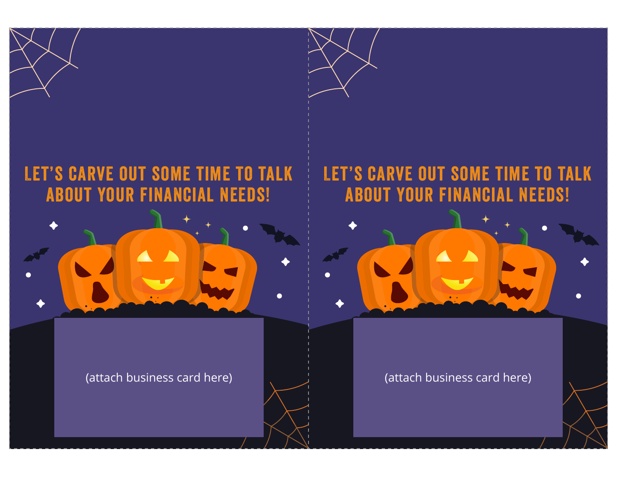## Let's carve out some time to talk about your financial needs!



(attach business card here)

#### Let's carve out some time to talk about your financial needs!



(attach business card here)